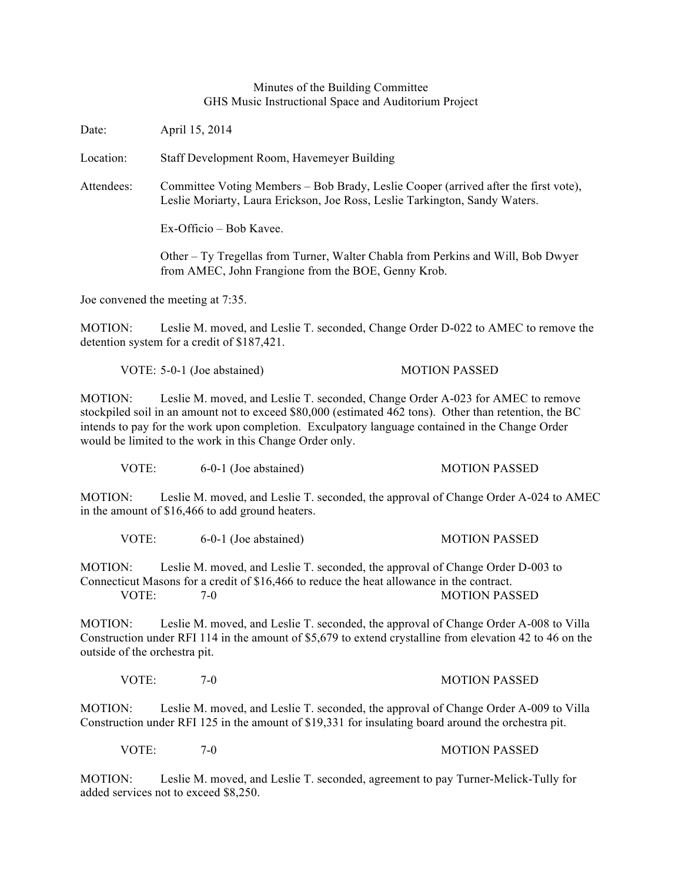## Minutes of the Building Committee GHS Music Instructional Space and Auditorium Project

| Date:                                                                                                                                                                                                                                                                                                                                                             | April 15, 2014                                                                                                                                                     |                      |
|-------------------------------------------------------------------------------------------------------------------------------------------------------------------------------------------------------------------------------------------------------------------------------------------------------------------------------------------------------------------|--------------------------------------------------------------------------------------------------------------------------------------------------------------------|----------------------|
| Location:                                                                                                                                                                                                                                                                                                                                                         | Staff Development Room, Havemeyer Building                                                                                                                         |                      |
| Attendees:                                                                                                                                                                                                                                                                                                                                                        | Committee Voting Members – Bob Brady, Leslie Cooper (arrived after the first vote),<br>Leslie Moriarty, Laura Erickson, Joe Ross, Leslie Tarkington, Sandy Waters. |                      |
|                                                                                                                                                                                                                                                                                                                                                                   | Ex-Officio – Bob Kavee.                                                                                                                                            |                      |
|                                                                                                                                                                                                                                                                                                                                                                   | Other – Ty Tregellas from Turner, Walter Chabla from Perkins and Will, Bob Dwyer<br>from AMEC, John Frangione from the BOE, Genny Krob.                            |                      |
| Joe convened the meeting at 7:35.                                                                                                                                                                                                                                                                                                                                 |                                                                                                                                                                    |                      |
| MOTION:<br>Leslie M. moved, and Leslie T. seconded, Change Order D-022 to AMEC to remove the<br>detention system for a credit of \$187,421.                                                                                                                                                                                                                       |                                                                                                                                                                    |                      |
|                                                                                                                                                                                                                                                                                                                                                                   | VOTE: 5-0-1 (Joe abstained)                                                                                                                                        | <b>MOTION PASSED</b> |
| MOTION:<br>Leslie M. moved, and Leslie T. seconded, Change Order A-023 for AMEC to remove<br>stockpiled soil in an amount not to exceed \$80,000 (estimated 462 tons). Other than retention, the BC<br>intends to pay for the work upon completion. Exculpatory language contained in the Change Order<br>would be limited to the work in this Change Order only. |                                                                                                                                                                    |                      |
| VOTE:                                                                                                                                                                                                                                                                                                                                                             | 6-0-1 (Joe abstained)                                                                                                                                              | <b>MOTION PASSED</b> |
| MOTION:<br>Leslie M. moved, and Leslie T. seconded, the approval of Change Order A-024 to AMEC<br>in the amount of \$16,466 to add ground heaters.                                                                                                                                                                                                                |                                                                                                                                                                    |                      |
|                                                                                                                                                                                                                                                                                                                                                                   |                                                                                                                                                                    |                      |

VOTE: 6-0-1 (Joe abstained) MOTION PASSED

MOTION: Leslie M. moved, and Leslie T. seconded, the approval of Change Order D-003 to Connecticut Masons for a credit of \$16,466 to reduce the heat allowance in the contract. VOTE:  $7-0$  MOTION PASSED

MOTION: Leslie M. moved, and Leslie T. seconded, the approval of Change Order A-008 to Villa Construction under RFI 114 in the amount of \$5,679 to extend crystalline from elevation 42 to 46 on the outside of the orchestra pit.

## VOTE: 7-0 7-0 MOTION PASSED

MOTION: Leslie M. moved, and Leslie T. seconded, the approval of Change Order A-009 to Villa Construction under RFI 125 in the amount of \$19,331 for insulating board around the orchestra pit.

VOTE: 7-0 7-0 MOTION PASSED

MOTION: Leslie M. moved, and Leslie T. seconded, agreement to pay Turner-Melick-Tully for added services not to exceed \$8,250.